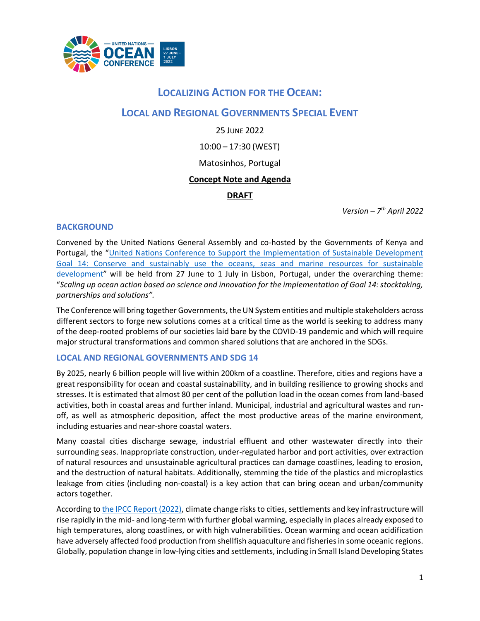

# **LOCALIZING ACTION FOR THE OCEAN:**

# **LOCAL AND REGIONAL GOVERNMENTS SPECIAL EVENT**

25 JUNE 2022 10:00 – 17:30 (WEST) Matosinhos, Portugal **Concept Note and Agenda DRAFT**

*Version – 7 th April 2022*

## **BACKGROUND**

Convened by the United Nations General Assembly and co-hosted by the Governments of Kenya and Portugal, the "United Nations Conference to Support the Implementation of Sustainable Development [Goal 14: Conserve and sustainably use the oceans, seas and marine resources for sustainable](https://www.un.org/en/conferences/ocean2022)  [development](https://www.un.org/en/conferences/ocean2022)" will be held from 27 June to 1 July in Lisbon, Portugal, under the overarching theme: "*Scaling up ocean action based on science and innovation for the implementation of Goal 14: stocktaking, partnerships and solutions".*

The Conference will bring together Governments, theUN System entities and multiple stakeholders across different sectors to forge new solutions comes at a critical time as the world is seeking to address many of the deep-rooted problems of our societies laid bare by the COVID-19 pandemic and which will require major structural transformations and common shared solutions that are anchored in the SDGs.

## **LOCAL AND REGIONAL GOVERNMENTS AND SDG 14**

By 2025, nearly 6 billion people will live within 200km of a coastline. Therefore, cities and regions have a great responsibility for ocean and coastal sustainability, and in building resilience to growing shocks and stresses. It is estimated that almost 80 per cent of the pollution load in the ocean comes from land-based activities, both in coastal areas and further inland. Municipal, industrial and agricultural wastes and runoff, as well as atmospheric deposition, affect the most productive areas of the marine environment, including estuaries and near-shore coastal waters.

Many coastal cities discharge sewage, industrial effluent and other wastewater directly into their surrounding seas. Inappropriate construction, under-regulated harbor and port activities, over extraction of natural resources and unsustainable agricultural practices can damage coastlines, leading to erosion, and the destruction of natural habitats. Additionally, stemming the tide of the plastics and microplastics leakage from cities (including non-coastal) is a key action that can bring ocean and urban/community actors together.

According t[o the IPCC Report \(2022\),](https://www.ipcc.ch/report/ar6/wg2/downloads/report/IPCC_AR6_WGII_FinalDraft_FullReport.pdf) climate change risks to cities, settlements and key infrastructure will rise rapidly in the mid- and long-term with further global warming, especially in places already exposed to high temperatures, along coastlines, or with high vulnerabilities. Ocean warming and ocean acidification have adversely affected food production from shellfish aquaculture and fisheries in some oceanic regions. Globally, population change in low-lying cities and settlements, including in Small Island Developing States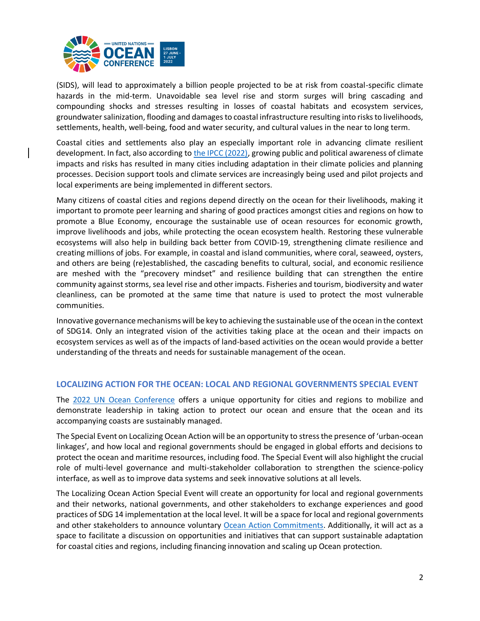

(SIDS), will lead to approximately a billion people projected to be at risk from coastal-specific climate hazards in the mid-term. Unavoidable sea level rise and storm surges will bring cascading and compounding shocks and stresses resulting in losses of coastal habitats and ecosystem services, groundwater salinization, flooding and damages to coastal infrastructure resulting into risks to livelihoods, settlements, health, well-being, food and water security, and cultural values in the near to long term.

Coastal cities and settlements also play an especially important role in advancing climate resilient development. In fact, also according to [the IPCC \(2022\),](https://www.ipcc.ch/report/ar6/wg2/downloads/report/IPCC_AR6_WGII_FinalDraft_FullReport.pdf) growing public and political awareness of climate impacts and risks has resulted in many cities including adaptation in their climate policies and planning processes. Decision support tools and climate services are increasingly being used and pilot projects and local experiments are being implemented in different sectors.

Many citizens of coastal cities and regions depend directly on the ocean for their livelihoods, making it important to promote peer learning and sharing of good practices amongst cities and regions on how to promote a Blue Economy, encourage the sustainable use of ocean resources for economic growth, improve livelihoods and jobs, while protecting the ocean ecosystem health. Restoring these vulnerable ecosystems will also help in building back better from COVID-19, strengthening climate resilience and creating millions of jobs. For example, in coastal and island communities, where coral, seaweed, oysters, and others are being (re)established, the cascading benefits to cultural, social, and economic resilience are meshed with the "precovery mindset" and resilience building that can strengthen the entire community against storms, sea level rise and other impacts. Fisheries and tourism, biodiversity and water cleanliness, can be promoted at the same time that nature is used to protect the most vulnerable communities.

Innovative governance mechanisms will be key to achieving the sustainable use of the ocean in the context of SDG14. Only an integrated vision of the activities taking place at the ocean and their impacts on ecosystem services as well as of the impacts of land-based activities on the ocean would provide a better understanding of the threats and needs for sustainable management of the ocean.

## **LOCALIZING ACTION FOR THE OCEAN: LOCAL AND REGIONAL GOVERNMENTS SPECIAL EVENT**

The [2022 UN Ocean Conference](https://www.un.org/en/conferences/ocean2022) offers a unique opportunity for cities and regions to mobilize and demonstrate leadership in taking action to protect our ocean and ensure that the ocean and its accompanying coasts are sustainably managed.

The Special Event on Localizing Ocean Action will be an opportunity to stress the presence of 'urban-ocean linkages', and how local and regional governments should be engaged in global efforts and decisions to protect the ocean and maritime resources, including food. The Special Event will also highlight the crucial role of multi-level governance and multi-stakeholder collaboration to strengthen the science-policy interface, as well as to improve data systems and seek innovative solutions at all levels.

The Localizing Ocean Action Special Event will create an opportunity for local and regional governments and their networks, national governments, and other stakeholders to exchange experiences and good practices of SDG 14 implementation at the local level. It will be a space for local and regional governments and other stakeholders to announce voluntary [Ocean Action Commitments.](https://sdgs.un.org/partnerships/action-networks/ocean-commitments) Additionally, it will act as a space to facilitate a discussion on opportunities and initiatives that can support sustainable adaptation for coastal cities and regions, including financing innovation and scaling up Ocean protection.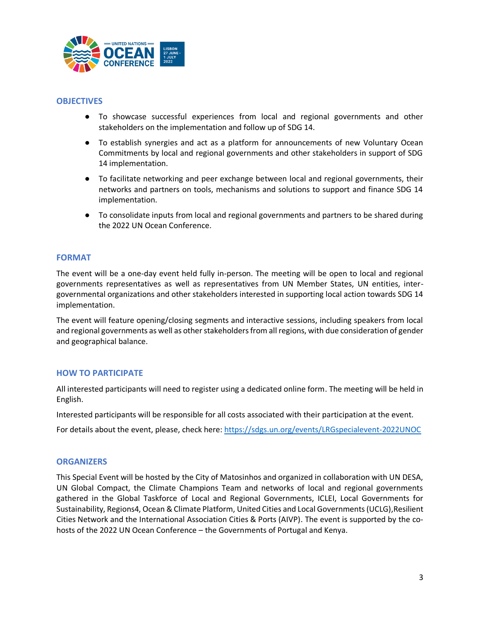

### **OBJECTIVES**

- To showcase successful experiences from local and regional governments and other stakeholders on the implementation and follow up of SDG 14.
- To establish synergies and act as a platform for announcements of new Voluntary Ocean Commitments by local and regional governments and other stakeholders in support of SDG 14 implementation.
- To facilitate networking and peer exchange between local and regional governments, their networks and partners on tools, mechanisms and solutions to support and finance SDG 14 implementation.
- To consolidate inputs from local and regional governments and partners to be shared during the 2022 UN Ocean Conference.

#### **FORMAT**

The event will be a one-day event held fully in-person. The meeting will be open to local and regional governments representatives as well as representatives from UN Member States, UN entities, intergovernmental organizations and other stakeholders interested in supporting local action towards SDG 14 implementation.

The event will feature opening/closing segments and interactive sessions, including speakers from local and regional governments as well as other stakeholders from all regions, with due consideration of gender and geographical balance.

## **HOW TO PARTICIPATE**

All interested participants will need to register using a dedicated online form. The meeting will be held in English.

Interested participants will be responsible for all costs associated with their participation at the event.

For details about the event, please, check here:<https://sdgs.un.org/events/LRGspecialevent-2022UNOC>

#### **ORGANIZERS**

This Special Event will be hosted by the City of Matosinhos and organized in collaboration with UN DESA, UN Global Compact, the Climate Champions Team and networks of local and regional governments gathered in the Global Taskforce of Local and Regional Governments, ICLEI, Local Governments for Sustainability, Regions4, Ocean & Climate Platform, United Cities and Local Governments (UCLG),Resilient Cities Network and the International Association Cities & Ports (AIVP). The event is supported by the cohosts of the 2022 UN Ocean Conference – the Governments of Portugal and Kenya.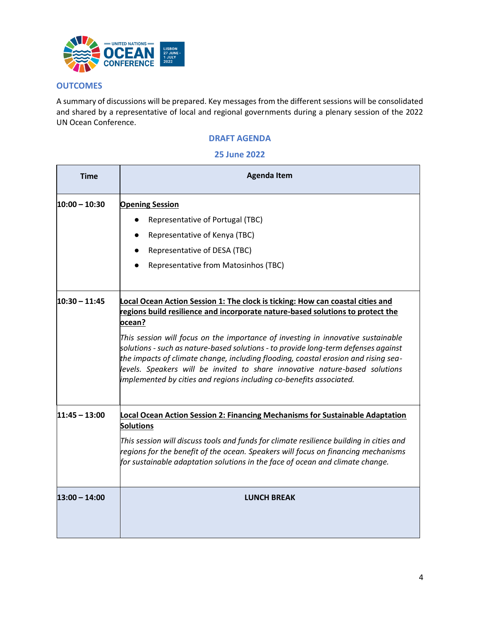

## **OUTCOMES**

A summary of discussions will be prepared. Key messages from the different sessions will be consolidated and shared by a representative of local and regional governments during a plenary session of the 2022 UN Ocean Conference.

# **DRAFT AGENDA**

#### **25 June 2022**

| <b>Time</b>     | <b>Agenda Item</b>                                                                                                                                                                                                                                                                                                                                                                                                                                                                                                                                                                               |
|-----------------|--------------------------------------------------------------------------------------------------------------------------------------------------------------------------------------------------------------------------------------------------------------------------------------------------------------------------------------------------------------------------------------------------------------------------------------------------------------------------------------------------------------------------------------------------------------------------------------------------|
| $10:00 - 10:30$ | <b>Opening Session</b><br>Representative of Portugal (TBC)<br>Representative of Kenya (TBC)<br>Representative of DESA (TBC)<br>Representative from Matosinhos (TBC)                                                                                                                                                                                                                                                                                                                                                                                                                              |
| $10:30 - 11:45$ | Local Ocean Action Session 1: The clock is ticking: How can coastal cities and<br>regions build resilience and incorporate nature-based solutions to protect the<br>ocean?<br>This session will focus on the importance of investing in innovative sustainable<br>solutions - such as nature-based solutions - to provide long-term defenses against<br>the impacts of climate change, including flooding, coastal erosion and rising sea-<br>levels. Speakers will be invited to share innovative nature-based solutions<br>implemented by cities and regions including co-benefits associated. |
| $11:45 - 13:00$ | Local Ocean Action Session 2: Financing Mechanisms for Sustainable Adaptation<br><b>Solutions</b><br>This session will discuss tools and funds for climate resilience building in cities and<br>regions for the benefit of the ocean. Speakers will focus on financing mechanisms<br>$f$ or sustainable adaptation solutions in the face of ocean and climate change.                                                                                                                                                                                                                            |
| $13:00 - 14:00$ | <b>LUNCH BREAK</b>                                                                                                                                                                                                                                                                                                                                                                                                                                                                                                                                                                               |